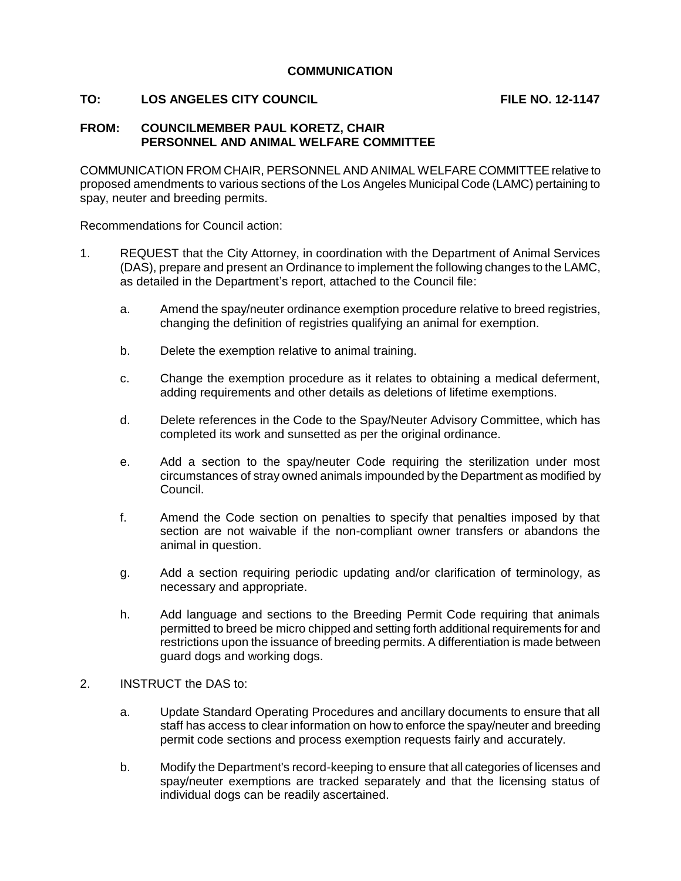## **TO: LOS ANGELES CITY COUNCIL LOGIC CONSTRUES AND LOGICAL CONSTRUES AND FILE NO. 12-1147**

## **FROM: COUNCILMEMBER PAUL KORETZ, CHAIR PERSONNEL AND ANIMAL WELFARE COMMITTEE**

COMMUNICATION FROM CHAIR, PERSONNEL AND ANIMAL WELFARE COMMITTEE relative to proposed amendments to various sections of the Los Angeles Municipal Code (LAMC) pertaining to spay, neuter and breeding permits.

Recommendations for Council action:

- 1. REQUEST that the City Attorney, in coordination with the Department of Animal Services (DAS), prepare and present an Ordinance to implement the following changes to the LAMC, as detailed in the Department's report, attached to the Council file:
	- a. Amend the spay/neuter ordinance exemption procedure relative to breed registries, changing the definition of registries qualifying an animal for exemption.
	- b. Delete the exemption relative to animal training.
	- c. Change the exemption procedure as it relates to obtaining a medical deferment, adding requirements and other details as deletions of lifetime exemptions.
	- d. Delete references in the Code to the Spay/Neuter Advisory Committee, which has completed its work and sunsetted as per the original ordinance.
	- e. Add a section to the spay/neuter Code requiring the sterilization under most circumstances of stray owned animals impounded by the Department as modified by Council.
	- f. Amend the Code section on penalties to specify that penalties imposed by that section are not waivable if the non-compliant owner transfers or abandons the animal in question.
	- g. Add a section requiring periodic updating and/or clarification of terminology, as necessary and appropriate.
	- h. Add language and sections to the Breeding Permit Code requiring that animals permitted to breed be micro chipped and setting forth additional requirements for and restrictions upon the issuance of breeding permits. A differentiation is made between guard dogs and working dogs.
- 2. INSTRUCT the DAS to:
	- a. Update Standard Operating Procedures and ancillary documents to ensure that all staff has access to clear information on how to enforce the spay/neuter and breeding permit code sections and process exemption requests fairly and accurately.
	- b. Modify the Department's record-keeping to ensure that all categories of licenses and spay/neuter exemptions are tracked separately and that the licensing status of individual dogs can be readily ascertained.